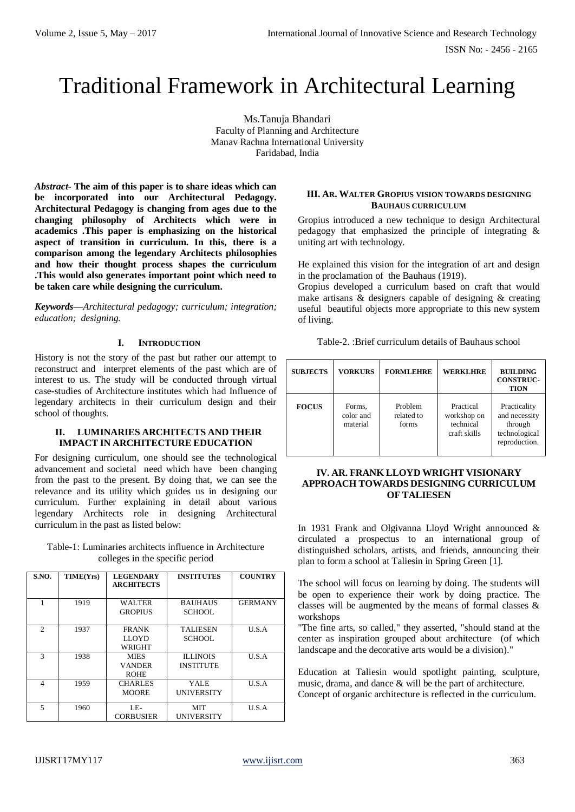# Traditional Framework in Architectural Learning

Ms.Tanuja Bhandari Faculty of Planning and Architecture Manav Rachna International University Faridabad, India

*Abstract***- The aim of this paper is to share ideas which can be incorporated into our Architectural Pedagogy. Architectural Pedagogy is changing from ages due to the changing philosophy of Architects which were in academics .This paper is emphasizing on the historical aspect of transition in curriculum. In this, there is a comparison among the legendary Architects philosophies and how their thought process shapes the curriculum .This would also generates important point which need to be taken care while designing the curriculum.**

*Keywords—Architectural pedagogy; curriculum; integration; education; designing.*

## **I. INTRODUCTION**

History is not the story of the past but rather our attempt to reconstruct and interpret elements of the past which are of interest to us. The study will be conducted through virtual case-studies of Architecture institutes which had Influence of legendary architects in their curriculum design and their school of thoughts.

## **II. LUMINARIES ARCHITECTS AND THEIR IMPACT IN ARCHITECTURE EDUCATION**

For designing curriculum, one should see the technological advancement and societal need which have been changing from the past to the present. By doing that, we can see the relevance and its utility which guides us in designing our curriculum. Further explaining in detail about various legendary Architects role in designing Architectural curriculum in the past as listed below:

| Table-1: Luminaries architects influence in Architecture |
|----------------------------------------------------------|
| colleges in the specific period                          |

| <b>S.NO.</b>             | TIME(Yrs) | <b>LEGENDARY</b><br><b>ARCHITECTS</b>       | <b>INSTITUTES</b>                   | <b>COUNTRY</b> |
|--------------------------|-----------|---------------------------------------------|-------------------------------------|----------------|
| 1                        | 1919      | <b>WALTER</b><br><b>GROPIUS</b>             | <b>BAUHAUS</b><br><b>SCHOOL</b>     | <b>GERMANY</b> |
| 2                        | 1937      | <b>FRANK</b><br><b>LLOYD</b><br>WRIGHT      | <b>TALIESEN</b><br><b>SCHOOL</b>    | U.S.A          |
| 3                        | 1938      | <b>MIES</b><br><b>VANDER</b><br><b>ROHE</b> | <b>ILLINOIS</b><br><b>INSTITUTE</b> | U.S.A          |
| 4                        | 1959      | <b>CHARLES</b><br><b>MOORE</b>              | <b>YALE</b><br><b>UNIVERSITY</b>    | U.S.A          |
| $\overline{\phantom{0}}$ | 1960      | LE-<br><b>CORBUSIER</b>                     | <b>MIT</b><br><b>UNIVERSITY</b>     | U.S.A          |

### **III. AR. WALTER GROPIUS VISION TOWARDS DESIGNING BAUHAUS CURRICULUM**

Gropius introduced a new technique to design Architectural pedagogy that emphasized the principle of integrating & uniting art with technology.

He explained this vision for the integration of art and design in the proclamation of the Bauhaus (1919).

Gropius developed a curriculum based on craft that would make artisans & designers capable of designing & creating useful beautiful objects more appropriate to this new system of living.

Table-2. :Brief curriculum details of Bauhaus school

| <b>SUBJECTS</b> | <b>VORKURS</b>                  | <b>FORMLEHRE</b>               | <b>WERKLHRE</b>                                       | <b>BUILDING</b><br><b>CONSTRUC-</b><br><b>TION</b>                         |
|-----------------|---------------------------------|--------------------------------|-------------------------------------------------------|----------------------------------------------------------------------------|
| <b>FOCUS</b>    | Forms.<br>color and<br>material | Problem<br>related to<br>forms | Practical<br>workshop on<br>technical<br>craft skills | Practicality<br>and necessity<br>through<br>technological<br>reproduction. |

## **IV. AR. FRANK LLOYD WRIGHT VISIONARY APPROACH TOWARDS DESIGNING CURRICULUM OF TALIESEN**

In 1931 Frank and Olgivanna Lloyd Wright announced & circulated a prospectus to an international group of distinguished scholars, artists, and friends, announcing their plan to form a school at Taliesin in Spring Green [1].

The school will focus on learning by doing. The students will be open to experience their work by doing practice. The classes will be augmented by the means of formal classes & workshops

"The fine arts, so called," they asserted, "should stand at the center as inspiration grouped about architecture (of which landscape and the decorative arts would be a division)."

Education at Taliesin would spotlight painting, sculpture, music, drama, and dance & will be the part of architecture. Concept of organic architecture is reflected in the curriculum.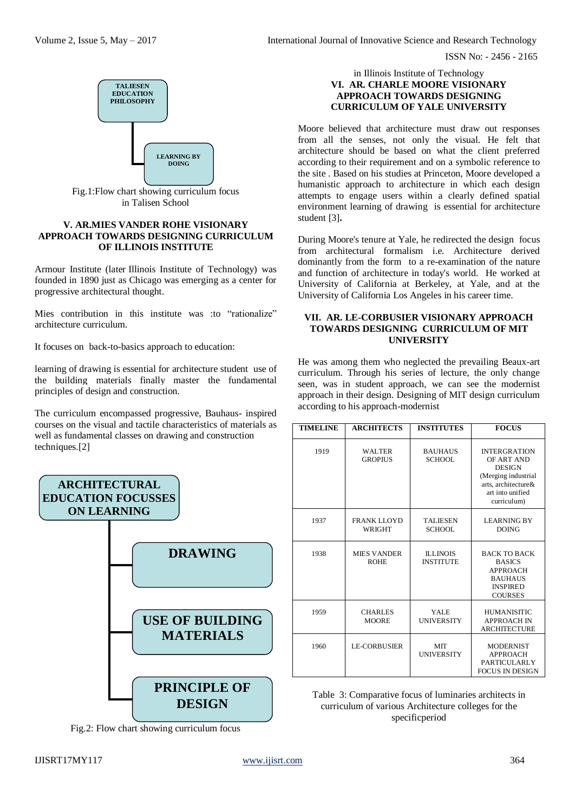ISSN No: - 2456 - 2165



Fig.1:Flow chart showing curriculum focus in Talisen School

### **V. AR.MIES VANDER ROHE VISIONARY APPROACH TOWARDS DESIGNING CURRICULUM OF ILLINOIS INSTITUTE**

Armour Institute (later Illinois Institute of Technology) was founded in 1890 just as Chicago was emerging as a center for progressive architectural thought.

Mies contribution in this institute was :to "rationalize" architecture curriculum.

It focuses on back-to-basics approach to education:

learning of drawing is essential for architecture student use of the building materials finally master the fundamental principles of design and construction.

The curriculum encompassed progressive, Bauhaus- inspired courses on the visual and tactile characteristics of materials as well as fundamental classes on drawing and construction techniques.[2]



Fig.2: Flow chart showing curriculum focus

#### in Illinois Institute of Technology **VI. AR. CHARLE MOORE VISIONARY APPROACH TOWARDS DESIGNING CURRICULUM OF YALE UNIVERSITY**

Moore believed that architecture must draw out responses from all the senses, not only the visual. He felt that architecture should be based on what the client preferred according to their requirement and on a symbolic reference to the site . Based on his studies at Princeton, Moore developed a humanistic approach to architecture in which each design attempts to engage users within a clearly defined spatial environment learning of drawing is essential for architecture student [3]**.** 

During Moore's tenure at Yale, he redirected the design focus from architectural formalism i.e. Architecture derived dominantly from the form to a re-examination of the nature and function of architecture in today's world. He worked at University of California at Berkeley, at Yale, and at the University of California Los Angeles in his career time.

## **VII. AR. LE-CORBUSIER VISIONARY APPROACH TOWARDS DESIGNING CURRICULUM OF MIT UNIVERSITY**

He was among them who neglected the prevailing Beaux-art curriculum. Through his series of lecture, the only change seen, was in student approach, we can see the modernist approach in their design. Designing of MIT design curriculum according to his approach-modernist

| <b>TIMELINE</b> | <b>ARCHITECTS</b>                   | <b>INSTITUTES</b>                   | <b>FOCUS</b>                                                                                                                        |
|-----------------|-------------------------------------|-------------------------------------|-------------------------------------------------------------------------------------------------------------------------------------|
| 1919            | <b>WALTER</b><br><b>GROPIUS</b>     | <b>BAUHAUS</b><br><b>SCHOOL</b>     | <b>INTERGRATION</b><br>OF ART AND<br><b>DESIGN</b><br>(Merging industrial<br>arts, architecture&<br>art into unified<br>curriculum) |
| 1937            | <b>FRANK LLOYD</b><br><b>WRIGHT</b> | <b>TALIESEN</b><br>SCHOOL           | <b>LEARNING BY</b><br><b>DOING</b>                                                                                                  |
| 1938            | <b>MIES VANDER</b><br><b>ROHE</b>   | <b>ILLINOIS</b><br><b>INSTITUTE</b> | <b>BACK TO BACK</b><br><b>BASICS</b><br><b>APPROACH</b><br><b>BAUHAUS</b><br><b>INSPIRED</b><br><b>COURSES</b>                      |
| 1959            | <b>CHARLES</b><br><b>MOORE</b>      | <b>YALE</b><br><b>UNIVERSITY</b>    | <b>HUMANISITIC</b><br><b>APPROACH IN</b><br><b>ARCHITECTURE</b>                                                                     |
| 1960            | <b>LE-CORBUSIER</b>                 | <b>MIT</b><br><b>UNIVERSITY</b>     | <b>MODERNIST</b><br><b>APPROACH</b><br>PARTICULARLY<br><b>FOCUS IN DESIGN</b>                                                       |

Table 3: Comparative focus of luminaries architects in curriculum of various Architecture colleges for the specificperiod